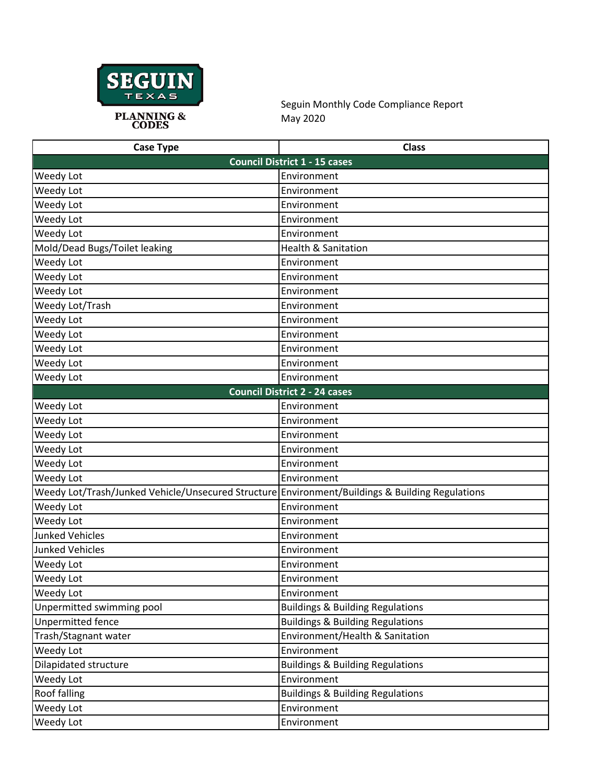

Seguin Monthly Code Compliance Report May 2020

| <b>Case Type</b>                                                                                | <b>Class</b>                                |
|-------------------------------------------------------------------------------------------------|---------------------------------------------|
|                                                                                                 | <b>Council District 1 - 15 cases</b>        |
| Weedy Lot                                                                                       | Environment                                 |
| Weedy Lot                                                                                       | Environment                                 |
| Weedy Lot                                                                                       | Environment                                 |
| Weedy Lot                                                                                       | Environment                                 |
| Weedy Lot                                                                                       | Environment                                 |
| Mold/Dead Bugs/Toilet leaking                                                                   | <b>Health &amp; Sanitation</b>              |
| Weedy Lot                                                                                       | Environment                                 |
| Weedy Lot                                                                                       | Environment                                 |
| Weedy Lot                                                                                       | Environment                                 |
| Weedy Lot/Trash                                                                                 | Environment                                 |
| Weedy Lot                                                                                       | Environment                                 |
| Weedy Lot                                                                                       | Environment                                 |
| Weedy Lot                                                                                       | Environment                                 |
| Weedy Lot                                                                                       | Environment                                 |
| Weedy Lot                                                                                       | Environment                                 |
|                                                                                                 | <b>Council District 2 - 24 cases</b>        |
| Weedy Lot                                                                                       | Environment                                 |
| Weedy Lot                                                                                       | Environment                                 |
| Weedy Lot                                                                                       | Environment                                 |
| Weedy Lot                                                                                       | Environment                                 |
| Weedy Lot                                                                                       | Environment                                 |
| Weedy Lot                                                                                       | Environment                                 |
| Weedy Lot/Trash/Junked Vehicle/Unsecured Structure Environment/Buildings & Building Regulations |                                             |
| Weedy Lot                                                                                       | Environment                                 |
| Weedy Lot                                                                                       | Environment                                 |
| <b>Junked Vehicles</b>                                                                          | Environment                                 |
| <b>Junked Vehicles</b>                                                                          | Environment                                 |
| Weedy Lot                                                                                       | Environment                                 |
| Weedy Lot                                                                                       | Environment                                 |
| Weedy Lot                                                                                       | Environment                                 |
| Unpermitted swimming pool                                                                       | <b>Buildings &amp; Building Regulations</b> |
| Unpermitted fence                                                                               | <b>Buildings &amp; Building Regulations</b> |
| Trash/Stagnant water                                                                            | Environment/Health & Sanitation             |
| Weedy Lot                                                                                       | Environment                                 |
| <b>Dilapidated structure</b>                                                                    | <b>Buildings &amp; Building Regulations</b> |
| Weedy Lot                                                                                       | Environment                                 |
| Roof falling                                                                                    | <b>Buildings &amp; Building Regulations</b> |
| Weedy Lot                                                                                       | Environment                                 |
| Weedy Lot                                                                                       | Environment                                 |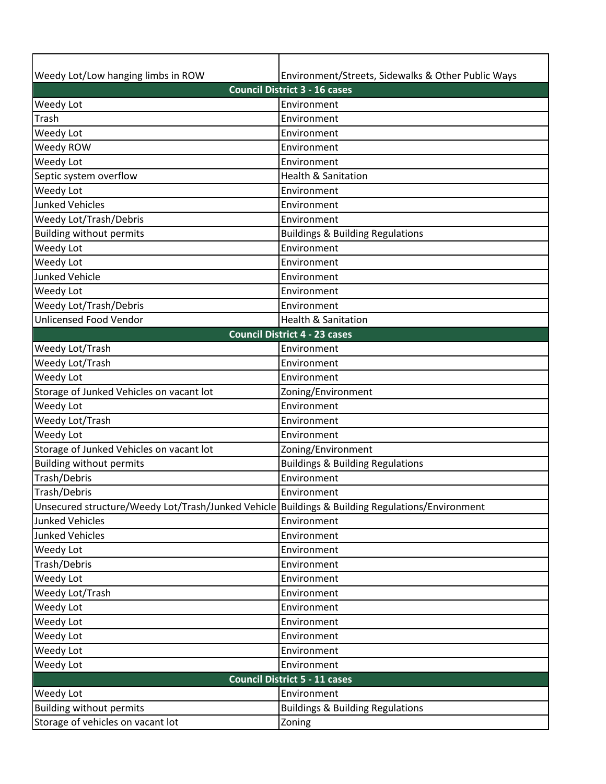| Weedy Lot/Low hanging limbs in ROW                                                              | Environment/Streets, Sidewalks & Other Public Ways |  |
|-------------------------------------------------------------------------------------------------|----------------------------------------------------|--|
| <b>Council District 3 - 16 cases</b>                                                            |                                                    |  |
| Weedy Lot                                                                                       | Environment                                        |  |
| Trash                                                                                           | Environment                                        |  |
| Weedy Lot                                                                                       | Environment                                        |  |
| Weedy ROW                                                                                       | Environment                                        |  |
| Weedy Lot                                                                                       | Environment                                        |  |
| Septic system overflow                                                                          | <b>Health &amp; Sanitation</b>                     |  |
| Weedy Lot                                                                                       | Environment                                        |  |
| <b>Junked Vehicles</b>                                                                          | Environment                                        |  |
| Weedy Lot/Trash/Debris                                                                          | Environment                                        |  |
| <b>Building without permits</b>                                                                 | <b>Buildings &amp; Building Regulations</b>        |  |
| Weedy Lot                                                                                       | Environment                                        |  |
| Weedy Lot                                                                                       | Environment                                        |  |
| <b>Junked Vehicle</b>                                                                           | Environment                                        |  |
| Weedy Lot                                                                                       | Environment                                        |  |
| Weedy Lot/Trash/Debris                                                                          | Environment                                        |  |
| <b>Unlicensed Food Vendor</b>                                                                   | <b>Health &amp; Sanitation</b>                     |  |
|                                                                                                 | <b>Council District 4 - 23 cases</b>               |  |
| Weedy Lot/Trash                                                                                 | Environment                                        |  |
| Weedy Lot/Trash                                                                                 | Environment                                        |  |
| Weedy Lot                                                                                       | Environment                                        |  |
| Storage of Junked Vehicles on vacant lot                                                        | Zoning/Environment                                 |  |
| Weedy Lot                                                                                       | Environment                                        |  |
| Weedy Lot/Trash                                                                                 | Environment                                        |  |
| Weedy Lot                                                                                       | Environment                                        |  |
| Storage of Junked Vehicles on vacant lot                                                        | Zoning/Environment                                 |  |
| <b>Building without permits</b>                                                                 | <b>Buildings &amp; Building Regulations</b>        |  |
| Trash/Debris                                                                                    | Environment                                        |  |
| Trash/Debris                                                                                    | Environment                                        |  |
| Unsecured structure/Weedy Lot/Trash/Junked Vehicle Buildings & Building Regulations/Environment |                                                    |  |
| <b>Junked Vehicles</b>                                                                          | Environment                                        |  |
| <b>Junked Vehicles</b>                                                                          | Environment                                        |  |
| Weedy Lot                                                                                       | Environment                                        |  |
| Trash/Debris                                                                                    | Environment                                        |  |
| Weedy Lot                                                                                       | Environment                                        |  |
| Weedy Lot/Trash                                                                                 | Environment                                        |  |
| Weedy Lot                                                                                       | Environment                                        |  |
| Weedy Lot                                                                                       | Environment                                        |  |
| Weedy Lot                                                                                       | Environment                                        |  |
| Weedy Lot                                                                                       | Environment                                        |  |
| Weedy Lot                                                                                       | Environment                                        |  |
|                                                                                                 | <b>Council District 5 - 11 cases</b>               |  |
| Weedy Lot                                                                                       | Environment                                        |  |
| <b>Building without permits</b>                                                                 | <b>Buildings &amp; Building Regulations</b>        |  |
| Storage of vehicles on vacant lot                                                               | Zoning                                             |  |
|                                                                                                 |                                                    |  |